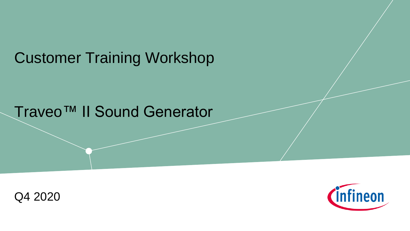# Customer Training Workshop

## Traveo™ II Sound Generator



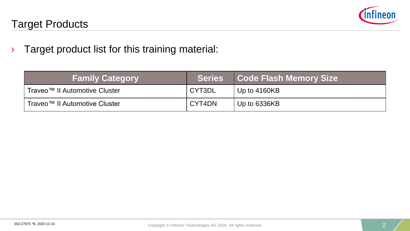

#### Target Products

› Target product list for this training material:

| <b>Family Category</b>        | Series | <b>Code Flash Memory Size</b> |
|-------------------------------|--------|-------------------------------|
| Traveo™ II Automotive Cluster | CYT3DL | Up to $4160KB$                |
| Traveo™ II Automotive Cluster | CYT4DN | Up to 6336KB                  |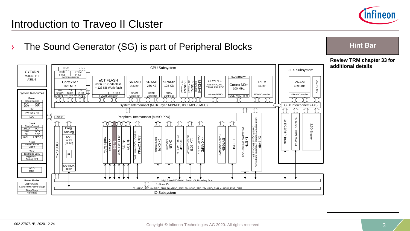

#### Introduction to Traveo II Cluster

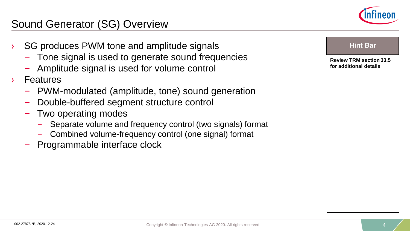

#### Sound Generator (SG) Overview

- SG produces PWM tone and amplitude signals
	- Tone signal is used to generate sound frequencies
	- Amplitude signal is used for volume control
- **Features** 
	- PWM-modulated (amplitude, tone) sound generation
	- Double-buffered segment structure control
	- Two operating modes
		- Separate volume and frequency control (two signals) format
		- Combined volume-frequency control (one signal) format
	- Programmable interface clock

|  | <b>Hint Bar</b>                                          |  |
|--|----------------------------------------------------------|--|
|  | <b>Review TRM section 33.5</b><br>for additional details |  |
|  |                                                          |  |
|  |                                                          |  |
|  |                                                          |  |
|  |                                                          |  |
|  |                                                          |  |
|  |                                                          |  |
|  |                                                          |  |
|  |                                                          |  |
|  |                                                          |  |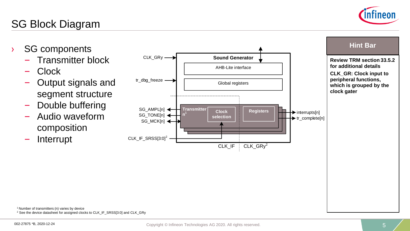<sup>1</sup> Number of transmitters (n) varies by device <sup>2</sup> See the device datasheet for assigned clocks to CLK\_IF\_SRSS[3:0] and CLK\_GRy

### SG Block Diagram

- › SG components
	- Transmitter block
	- Clock
	- Output signals and segment structure
	- Double buffering
	- Audio waveform composition

– Interrupt





**Hint Bar**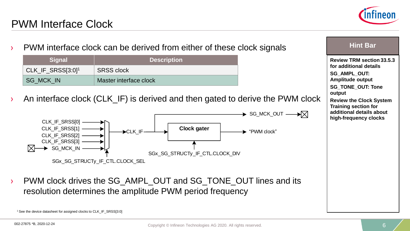

#### PWM Interface Clock

**Hint Bar**  PWM interface clock can be derived from either of these clock signals **Signal Description Review TRM section 33.5.3 for additional details** CLK IF SRSS[3:0]<sup>1</sup> SRSS clock **SG\_AMPL\_OUT:**  SG\_MCK\_IN Master interface clock **Amplitude output SG\_TONE\_OUT: Tone output** An interface clock (CLK\_IF) is derived and then gated to derive the PWM clock **Review the Clock System Training section for additional details about**   $\rightarrow$  SG\_MCK\_OUT  $\rightarrow$   $\times$ **high-frequency clocks** CLK\_IF\_SRSS[0] CLK\_IF\_SRSS[1] -**Clock gater**  $\rightarrow$ CLK IF  $\rightarrow$  "PWM clock" CLK IF SRSS[2] -CLK\_IF\_SRSS[3]  $\bowtie$ SG\_MCK\_IN SGx\_SG\_STRUCTy\_IF\_CTL.CLOCK\_DIV SGx\_SG\_STRUCTy\_IF\_CTL.CLOCK\_SEL › PWM clock drives the SG\_AMPL\_OUT and SG\_TONE\_OUT lines and its resolution determines the amplitude PWM period frequency <sup>1</sup> See the device datasheet for assigned clocks to CLK\_IF\_SRSS[3:0]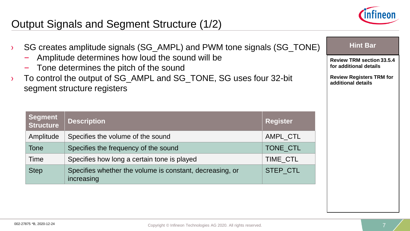

#### Output Signals and Segment Structure (1/2)

|                                              | SG creates amplitude signals (SG_AMPL) and PWM tone signals (SG_TONE)<br>Amplitude determines how loud the sound will be<br>- Tone determines the pitch of the sound<br>To control the output of SG_AMPL and SG_TONE, SG uses four 32-bit<br>segment structure registers | <b>Hint Bar</b><br><b>Review TRM section 33.5.4</b><br>for additional details<br><b>Review Registers TRM for</b><br>additional details |                 |  |
|----------------------------------------------|--------------------------------------------------------------------------------------------------------------------------------------------------------------------------------------------------------------------------------------------------------------------------|----------------------------------------------------------------------------------------------------------------------------------------|-----------------|--|
|                                              | Segment<br><b>Structure</b>                                                                                                                                                                                                                                              | <b>Description</b>                                                                                                                     | <b>Register</b> |  |
|                                              | Amplitude<br>Specifies the volume of the sound                                                                                                                                                                                                                           |                                                                                                                                        | AMPL CTL        |  |
| Specifies the frequency of the sound<br>Tone |                                                                                                                                                                                                                                                                          | TONE CTL                                                                                                                               |                 |  |
|                                              | Specifies how long a certain tone is played<br>Time<br><b>TIME CTL</b>                                                                                                                                                                                                   |                                                                                                                                        |                 |  |
| <b>Step</b><br>increasing                    |                                                                                                                                                                                                                                                                          | Specifies whether the volume is constant, decreasing, or                                                                               | <b>STEP CTL</b> |  |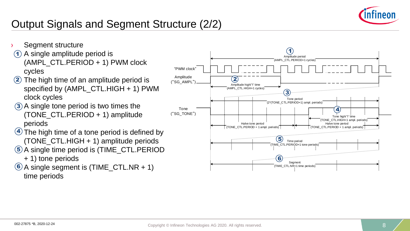

### Output Signals and Segment Structure (2/2)

- Segment structure
- 1) A single amplitude period is (AMPL\_CTL.PERIOD + 1) PWM clock cycles
- 2) The high time of an amplitude period is specified by (AMPL\_CTL.HIGH + 1) PWM clock cycles
- 3) A single tone period is two times the (TONE\_CTL.PERIOD + 1) amplitude periods
- $\overline{4}$  The high time of a tone period is defined by (TONE\_CTL.HIGH + 1) amplitude periods
- 5) A single time period is (TIME\_CTL.PERIOD
	- + 1) tone periods
- $6$  A single segment is (TIME\_CTL.NR + 1) time periods

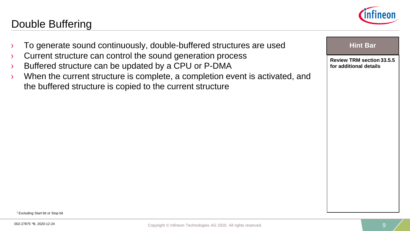

**Review TRM section 33.5.5** 

**for additional details**

#### Double Buffering

- To generate sound continuously, double-buffered structures are used **Hint Bar**
- › Current structure can control the sound generation process
- › Buffered structure can be updated by a CPU or P-DMA
- › When the current structure is complete, a completion event is activated, and the buffered structure is copied to the current structure

<sup>1</sup>Excluding Start bit or Stop bit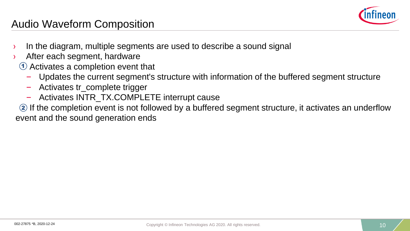

#### Audio Waveform Composition

- › In the diagram, multiple segments are used to describe a sound signal
- After each segment, hardware
	- $\mathbf{\mathbf{\textup{1}}}$  Activates a completion event that
		- Updates the current segment's structure with information of the buffered segment structure
		- Activates tr\_complete trigger
		- Activates INTR\_TX.COMPLETE interrupt cause
- 2 If the completion event is not followed by a buffered segment structure, it activates an underflow event and the sound generation ends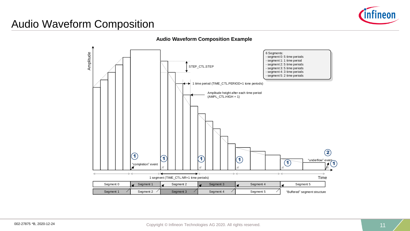

#### Audio Waveform Composition

**Audio Waveform Composition Example**

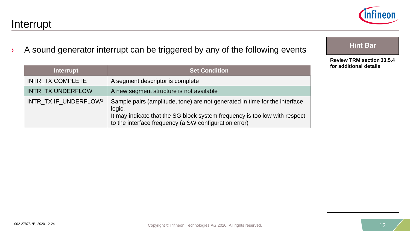#### Interrupt

› A sound generator interrupt can be triggered by any of the following events

| <b>Interrupt</b>                  | <b>Set Condition</b>                                                                                                                                                                                                        |
|-----------------------------------|-----------------------------------------------------------------------------------------------------------------------------------------------------------------------------------------------------------------------------|
| INTR_TX.COMPLETE                  | A segment descriptor is complete                                                                                                                                                                                            |
| INTR_TX.UNDERFLOW                 | A new segment structure is not available                                                                                                                                                                                    |
| INTR_TX.IF_UNDERFLOW <sup>1</sup> | Sample pairs (amplitude, tone) are not generated in time for the interface<br>logic.<br>It may indicate that the SG block system frequency is too low with respect<br>to the interface frequency (a SW configuration error) |

**Review TRM section 33.5.4 for additional details**

**Hint Bar** 

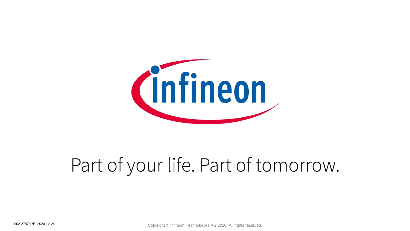

# Part of your life. Part of tomorrow.

002-27875 \*B, 2020-12-24 **Copyright © Infineon Technologies AG 2020.** All rights reserved.